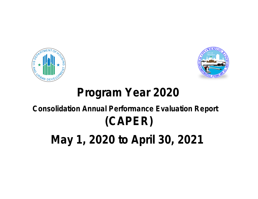



# **Program Year 2020**

# **Consolidation Annual Performance Evaluation Report (CAPER)**

**May 1, 2020 to April 30, 2021**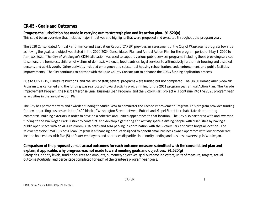# **CR-05 - Goals and Outcomes**

#### **Progress the jurisdiction has made in carrying out its strategic plan and its action plan. 91.520(a)**

This could be an overview that includes major initiatives and highlights that were proposed and executed throughout the program year.

The 2020 Consolidated Annual Performance and Evaluation Report (CAPER) provides an assessment of the City of Waukegan's progress towards achieving the goals and objectives stated in the 2020-2024 Consolidated Plan and Annual Action Plan for the program period of May 1, 2020 to April 30, 2021. The City of Waukegan's CDBG allocation was used to support various public services programs including those providing services to seniors, the homeless, children of victims of domestic violence, food pantries, legal services to affirmatively further fair housing and disabled persons and at risk youth. Other activities included emergency and substantial housing rehabilitation, code enforcement, and public facilities improvements. The City continues to partner with the Lake County Consortium to enhance the CDBG funding application process.

Due to COVID-19, illiness, restrictions, and the lack of staff; several programs were funded but not completed. The 50/50 Homeowner Sidewalk Program was cancelled and the funding was reallocated toward activity programming for the 2021 program year annual Action Plan. The Façade Improvement Program, the Microenterprise Small Business Loan Program, and the Victory Park project will continue into the 2021 program year as activities in the annual Action Plan.

The City has partnered with and awarded funding to StudioGWA to administer the Facade Improvement Program. This program provides funding for new or existing businesses in the 1400 block of Washington Street between Butrick and Mapel Street to rehabilitate deteriorating commercial building exteriors in order to develop a cohesive and unified appearance to that location. The City also partnered with and awarded funding to the Waukegan Park District to construct and develop a gathering and activity space assisting people with disabilities by having a public open space with an ADA restroom, ADA paths and ADA parking in coordination with the Victory Park and Vista hosptial location. The Microenterprise Small Business Loan Program is a financing product designed to benefit small business owner-operators with low or moderate income households with five (5) or fewer employees and addresses disparities in minority lending and business ownership in Waukegan.

#### **Comparison of the proposed versus actual outcomes for each outcome measure submitted with the consolidated plan and explain, if applicable, why progress was not made toward meeting goals and objectives. 91.520(g)**

Categories, priority levels, funding sources and amounts, outcomes/objectives, goal outcome indicators, units of measure, targets, actual outcomes/outputs, and percentage completed for each of the grantee's program year goals.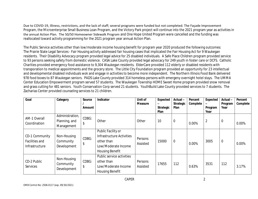Due to COVID-19, illiness, restrictions, and the lack of staff; several programs were funded but not completed. The Façade Improvement Program, the Microenterprise Small Business Loan Program, and the Victory Park project will continue into the 2021 program year as activities in the annual Action Plan. The 50/50 Homeowner Sidewalk Program and One Hope United Program were cancelled and the funding was reallocated toward activity programming for the 2021 program year annual Action Plan.

The Public Service activities other than low/moderate income housing benefit for program year 2020 produced the following outcomes: The Prairie State Legal Services - Fair Housing activity addressed fair housing cases that implicated the Fair Housing Act for 9 Waukegan residents. Their Disability Advocacy program provided legal advice for 25 disabled individuals. A Safe Place Children program provided service to 93 persons seeking safety from domestic violence. CASA Lake County provided legal advocacy for 249 youth in foster care or DCFS. Catholic Charities provided emergency food assistance to 9,304 Waukegan residents. ElderCare provided 112 elderly or disabled residents with transporation to medical appointments and the grocery store. The Little City Foundation program provided an opportunity for 23 intellectual and developmental disabled individuals wok and engage in activities to become more independent. The Northern Illinois Food Bank delivered 978 food boxes to 87 Waukegan seniors. PADS Lake County provided 314 homeless persons with emergeny overnight hotel stays. The UMMA Center Education Empowerment program served 57 students. The Waukegan Township HOME Sweet Home program provided snow removal and grass cutting for 481 seniors. Youth Conservation Corp served 21 students. YouthBuild Lake County provided services to 7 students. The Zacharias Center provided counseling services to 21 children.

| Goal                                               | Category                                       | Source<br><b>Amount</b> | Indicator                                                                                                      | Unit of<br><b>Measure</b> | Expected<br><b>Strategic</b><br><b>Plan</b> | Actual-<br><b>Strategic</b><br>Plan | Percent<br>Complete | <b>Expected</b><br>Program<br>Year | Actual-<br>Program<br>Year | Percent<br>Complete |
|----------------------------------------------------|------------------------------------------------|-------------------------|----------------------------------------------------------------------------------------------------------------|---------------------------|---------------------------------------------|-------------------------------------|---------------------|------------------------------------|----------------------------|---------------------|
| AM-1 Overall<br>Coordination                       | Administration,<br>Planning, and<br>Management | CDBG:                   | Other                                                                                                          | Other                     | 10                                          | $\mathbf 0$                         | 0.00%               | 2                                  | $\overline{0}$             | 0.00%               |
| CD-1 Community<br>Facilities and<br>Infrastructure | Non-Housing<br>Community<br>Development        | CDBG:                   | Public Facility or<br>Infrastructure Activities<br>other than<br>Low/Moderate Income<br><b>Housing Benefit</b> | Persons<br>Assisted       | 15000                                       | $\overline{0}$                      | 0.00%               | 3005                               | $\overline{0}$             | 0.00%               |
| CD-2 Public<br>Services                            | Non-Housing<br>Community<br>Development        | CDBG:<br>\$             | Public service activities<br>other than<br>Low/Moderate Income<br><b>Housing Benefit</b>                       | Persons<br>Assisted       | 17655                                       | 112                                 | 0.63%               | 3531                               | 112                        | 3.17%               |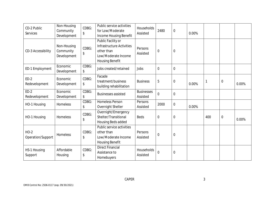| CD-2 Public<br>Services     | Non-Housing<br>Community<br>Development | CDBG:<br>\$ | Public service activities<br>for Low/Moderate<br>Income Housing Benefit                                        | Households<br>Assisted        | 2480             | $\mathbf 0$ | 0.00% |     |                  |       |
|-----------------------------|-----------------------------------------|-------------|----------------------------------------------------------------------------------------------------------------|-------------------------------|------------------|-------------|-------|-----|------------------|-------|
| CD-3 Accessibility          | Non-Housing<br>Community<br>Development | CDBG:<br>\$ | Public Facility or<br>Infrastructure Activities<br>other than<br>Low/Moderate Income<br><b>Housing Benefit</b> | Persons<br>Assisted           | $\mathbf 0$      | $\mathbf 0$ |       |     |                  |       |
| ED-1 Employment             | Economic<br>Development                 | CDBG:<br>\$ | Jobs created/retained                                                                                          | Jobs                          | $\mathbf 0$      | $\mathbf 0$ |       |     |                  |       |
| $ED-2$<br>Redevelopment     | Economic<br>Development                 | CDBG:<br>\$ | Facade<br>treatment/business<br>building rehabilitation                                                        | <b>Business</b>               | 5                | $\mathbf 0$ | 0.00% |     | $\boldsymbol{0}$ | 0.00% |
| $ED-2$<br>Redevelopment     | Economic<br>Development                 | CDBG:<br>\$ | <b>Businesses assisted</b>                                                                                     | <b>Businesses</b><br>Assisted | $\mathbf 0$      | $\mathbf 0$ |       |     |                  |       |
| HO-1 Housing                | Homeless                                | CDBG:<br>\$ | <b>Homeless Person</b><br>Overnight Shelter                                                                    | Persons<br>Assisted           | 2000             | $\mathbf 0$ | 0.00% |     |                  |       |
| HO-1 Housing                | Homeless                                | CDBG:<br>\$ | Overnight/Emergency<br>Shelter/Transitional<br>Housing Beds added                                              | <b>Beds</b>                   | $\boldsymbol{0}$ | $\mathbf 0$ |       | 400 | $\boldsymbol{0}$ | 0.00% |
| $HO-2$<br>Operation/Support | Homeless                                | CDBG:<br>\$ | Public service activities<br>other than<br>Low/Moderate Income<br><b>Housing Benefit</b>                       | Persons<br>Assisted           | $\boldsymbol{0}$ | $\mathbf 0$ |       |     |                  |       |
| HS-1 Housing<br>Support     | Affordable<br>Housing                   | CDBG:<br>\$ | <b>Direct Financial</b><br>Assistance to<br>Homebuyers                                                         | Households<br>Assisted        | $\overline{0}$   | $\mathbf 0$ |       |     |                  |       |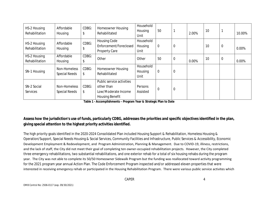| HS-2 Housing<br>Rehabilitation | Affordable<br>Housing                | CDBG:<br>\$ | <b>Homeowner Housing</b><br>Rehabilitated                                                | Household<br>Housing<br>Unit | 50               |                | 2.00% | 10 |             | 10.00% |
|--------------------------------|--------------------------------------|-------------|------------------------------------------------------------------------------------------|------------------------------|------------------|----------------|-------|----|-------------|--------|
| HS-2 Housing<br>Rehabilitation | Affordable<br>Housing                | CDBG:       | <b>Housing Code</b><br>Enforcement/Foreclosed<br><b>Property Care</b>                    | Household<br>Housing<br>Unit | $\boldsymbol{0}$ | $\mathbf 0$    |       | 10 | $\mathbf 0$ | 0.00%  |
| HS-2 Housing<br>Rehabilitation | Affordable<br>Housing                | CDBG:<br>S  | Other                                                                                    | Other                        | 50               | $\overline{0}$ | 0.00% | 10 | $\mathbf 0$ | 0.00%  |
| SN-1 Housing                   | Non-Homeless<br><b>Special Needs</b> | CDBG:<br>\$ | <b>Homeowner Housing</b><br>Rehabilitated                                                | Household<br>Housing<br>Unit | $\mathbf 0$      | $\overline{0}$ |       |    |             |        |
| SN-2 Social<br>Services        | Non-Homeless<br><b>Special Needs</b> | CDBG:<br>\$ | Public service activities<br>other than<br>Low/Moderate Income<br><b>Housing Benefit</b> | Persons<br>Assisted          | $\overline{0}$   | $\overline{0}$ |       |    |             |        |

**Table 1 - Accomplishments – Program Year & Strategic Plan to Date**

# **Assess how the jurisdiction's use of funds, particularly CDBG, addresses the priorities and specific objectives identified in the plan, giving special attention to the highest priority activities identified.**

The high priority goals identified in the 2020-2024 Consolidated Plan included Housing Support & Rehabilitation, Homeless Housing & Operation/Support, Special Needs Housing & Social Services, Community Facilities and Infrastructure, Public Services & Accessibility, Economic Development Employment & Redevelopment, and Program Administration, Planning & Management. Due to COVID-19, illiness, restrictions, and the lack of staff, the City did not meet their goal of completing ten owner-occupied rehabilitation projects. However, the City completed three emergency rehabilitations, two substantial rehabilitations, and one exterior rehab for a total of six housing rehabs during the program year. The City was not able to complete its 50/50 Homeowner Sidewalk Program but the funding was reallocated toward activity programming for the 2021 program year annual Action Plan. The Code Enforcement Program inspected and/or addressed eleven properties that were interested in receiving emergency rehab or participated in the Housing Rehabilitation Program. There were various public service activites which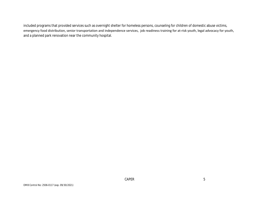included programs that provided services such as overnight shelter for homeless persons, counseling for children of domestic abuse victims, emergency food distribution, senior transportation and independence services, job readiness training for at-risk youth, legal advocacy for youth, and a planned park renovation near the community hospital.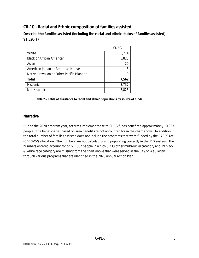# **CR-10 - Racial and Ethnic composition of families assisted**

**Describe the families assisted (including the racial and ethnic status of families assisted). 91.520(a)** 

|                                           | <b>CDBG</b> |
|-------------------------------------------|-------------|
| White                                     | 3,714       |
| <b>Black or African American</b>          | 3,825       |
| Asian                                     | 20          |
| American Indian or American Native        | 3           |
| Native Hawaiian or Other Pacific Islander |             |
| Total                                     | 7,562       |
| Hispanic                                  | 3,737       |
| Not Hispanic                              | 3,825       |

#### **Table 2 – Table of assistance to racial and ethnic populations by source of funds**

#### **Narrative**

During the 2020 program year, activites implemented with CDBG funds benefited approximately 10,823 people. The beneficiaries based on area benefit are not accounted for in the chart above. In addition, the total number of families assisted does not include the programs that were funded by the CARES Act (CDBG-CV) allocation. The numbers are not calculating and populating correctly in the IDIS system. The numbers entered account for only 7,562 people in which 3,233 other multi-racial category and 19 black & white race category are missing from the chart above that were served in the City of Waukegan through various programs that are identified in the 2020 annual Action Plan.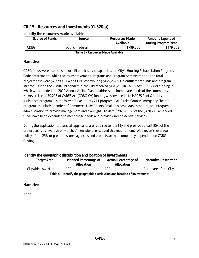# **CR-15 - Resources and Investments 91.520(a)**

| <b>Source of Funds</b> | Source           | <b>Resources Made</b><br>Available | <b>Amount Expended</b><br>During Program Year |
|------------------------|------------------|------------------------------------|-----------------------------------------------|
| CDBG                   | public - federal | \$799,200                          | \$479,263                                     |

#### **Identify the resources made available**

**Table 3 - Resources Made Available**

#### **Narrative**

CDBG funds were used to support 15 public service agencies, the City's Housing Rehabilitation Program, Code Enforcment, Public Facility Improvement Programs and Program Administration. The total projects cost were \$7,779,191 with CDBG contributing \$479,262.93 in entitlement funds and program income. Due to the COVID-19 pandemic, the City received \$470,215 in CARES Act (CDBG-CV) funding in which we amended the 2019 Annual Action Plan to address the immediate needs of the community. However, the \$470,215 of CARES Act (CDBG-CV) funding was invested into HACES Rent & Utility Assistance program, United Way of Lake County 211 program, PADS Lake County Emergency Shelter program, the Black Chamber of Commerce Lake County Small Business Grant program, and Program administration to provide management and oversight. To date \$292,281.83 of the \$470,215 amended funds have been expended to meet those needs and provide direct essential services.

During the application process, all applicants are required to identify and provide at least 25% of the project costs as leverage or match. All recipients exceeded this requirement. Waukegan's leverage policy of the 25% or greater assures agencies and projects are not completely dependent on CDBG funding.

#### **Identify the geographic distribution and location of investments**

| Target Area                                                                                                   | <b>Planned Percentage of</b><br><b>Allocation</b> | <b>Actual Percentage of</b><br><b>Allocation</b> | <b>Narrative Description</b> |  |  |  |
|---------------------------------------------------------------------------------------------------------------|---------------------------------------------------|--------------------------------------------------|------------------------------|--|--|--|
| Citywide Low-Mod                                                                                              | 100                                               | 100                                              | Entire are of the City       |  |  |  |
| #10.000 → → → 10.000.000 → 10.000 → 10.000 → 10.000 → 10.000 → 10.000 → 10.000 → 10.000 → 10.000 → 10.000 → 1 |                                                   |                                                  |                              |  |  |  |

**Table 4 – Identify the geographic distribution and location of investments**

#### **Narrative**

None.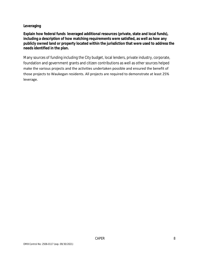#### **Leveraging**

**Explain how federal funds leveraged additional resources (private, state and local funds), including a description of how matching requirements were satisfied, as well as how any publicly owned land or property located within the jurisdiction that were used to address the needs identified in the plan.**

Many sources of funding including the City budget, local lenders, private industry, corporate, foundation and government grants and citizen contributions as well as other sources helped make the various projects and the activities undertaken possible and ensured the benefit of those projects to Waukegan residents. All projects are required to demonstrate at least 25% leverage.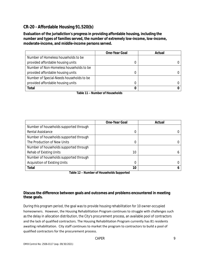# **CR-20 - Affordable Housing 91.520(b)**

**Evaluation of the jurisdiction's progress in providing affordable housing, including the number and types of families served, the number of extremely low-income, low-income, moderate-income, and middle-income persons served.**

|                                          | <b>One-Year Goal</b> | Actual |
|------------------------------------------|----------------------|--------|
| Number of Homeless households to be      |                      |        |
| provided affordable housing units        |                      |        |
| Number of Non-Homeless households to be  |                      |        |
| provided affordable housing units        |                      |        |
| Number of Special-Needs households to be |                      |        |
| provided affordable housing units        |                      |        |
| <b>Total</b>                             |                      |        |

**Table 11 – Number of Households**

|                                        | <b>One-Year Goal</b> | Actual |
|----------------------------------------|----------------------|--------|
| Number of households supported through |                      |        |
| Rental Assistance                      | 0                    |        |
| Number of households supported through |                      |        |
| The Production of New Units            | 0                    |        |
| Number of households supported through |                      |        |
| Rehab of Existing Units                | 10                   |        |
| Number of households supported through |                      |        |
| <b>Acquisition of Existing Units</b>   | 0                    |        |
| <b>Total</b>                           | 10                   |        |

**Table 12 – Number of Households Supported**

#### **Discuss the difference between goals and outcomes and problems encountered in meeting these goals.**

During this program period, the goal was to provide housing rehabilitation for 10 owner-occupied homeowners. However, the Housing Rehabilitation Program continues to struggle with challenges such as the delay in allocation distribution, the City's procurement process, an available pool of contractors and the lack of qualified contractors. The Housing Rehabilitation Program currently has 81 residents awaiting rehabilitation. City staff continues to market the program to contractors to build a pool of qualified contractors for the procurement process.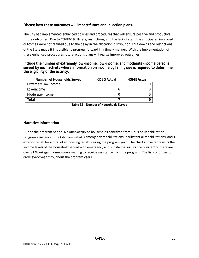#### **Discuss how these outcomes will impact future annual action plans.**

The City had implemented enhanced policies and procedures that will ensure positive and productive future outcomes. Due to COVID-19, illiness, restrictions, and the lack of staff, the anticipated improved outcomes were not realized due to the delay in the allocation distribution, shut downs and restrictions of the State made it impossible to progress forward in a timely manner. With the implementation of these enhanced procedures future actions plans will realize improved outcomes.

#### **Include the number of extremely low-income, low-income, and moderate-income persons served by each activity where information on income by family size is required to determine the eligibility of the activity.**

| Number of Households Served | <b>CDBG Actual</b> | <b>HOME Actual</b> |
|-----------------------------|--------------------|--------------------|
| <b>Extremely Low-income</b> |                    |                    |
| Low-income                  |                    |                    |
| Moderate-income             |                    |                    |
| Total                       |                    |                    |

**Table 13 – Number of Households Served**

#### **Narrative Information**

During the program period, 6 owner-occupied households benefited from Housing Rehabilitation Program assistance. The City completed 3 emergency rehabilitations, 2 substantial rehabilitations, and 1 exterior rehab for a total of six housing rehabs during the program year. The chart above represents the income levels of the household served with emergency and substantial assistance. Currently, there are over 81 Waukegan homeowners waiting to receive assistance from the program. The list continues to grow every year throughout the program years.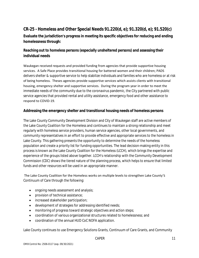# **CR-25 - Homeless and Other Special Needs 91.220(d, e); 91.320(d, e); 91.520(c)**

**Evaluate the jurisdiction's progress in meeting its specific objectives for reducing and ending homelessness through:**

## **Reaching out to homeless persons (especially unsheltered persons) and assessing their individual needs**

Waukegan received requests and provided funding from agencies that provide supportive housing services. A Safe Place provides transitional housing for battered women and their children; PADS delivers shelter & supportive service to help stabilize individuals and families who are homeless or at risk of being homeless. Theses agencies provide supportive services which assists clients with transitional housing, emergency shelter and supportive services. During the program year in order to meet the immediate needs of the community due to the coronavirus pandemic, the City partnered with public service agencies that provided rental and utility assistance, emergency food and other assistance to respond to COVID-19.

#### **Addressing the emergency shelter and transitional housing needs of homeless persons**

The Lake County Community Development Division and City of Waukegan staff are active members of the Lake County Coalition for the Homeless and continues to maintain a strong relationship and meet regularly with homeless service providers, human service agencies, other local governments, and community representatives in an effort to provide effective and appropriate services to the homeless in Lake County. This gathering presents the opportunity to determine the needs of the homeless population and create a priority list for funding opportunities. The lead decision-making entity in this process is known as the Lake County Coalition for the Homeless (LCCH), which brings the expertise and experience of the groups listed above together. LCCH's relationship with the Community Development Commission (CDC) shows the tiered nature of the planning process, which helps to ensure that limited funds and other resources will be used in an appropriate manner.

#### The Lake County Coalition for the Homeless works on multiple levels to strengthen Lake County's Continuum of Care through the following:

- ongoing needs assessment and analysis;
- **•** provision of technical assistance;
- increased stakeholder participation;
- development of strategies for addressing identified needs;
- monitoring of progress toward strategic objectives and action steps;
- coordination of various organizational structures related to homelessness; and
- coordination of the annual HUD CoC NOFA application.

Lake County continues to use Emergency Solutions Grants, Continuum of Care Grants, and Community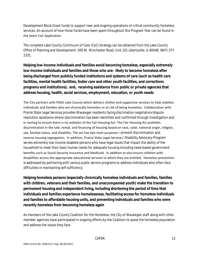Development Block Grant funds to support new and ongoing operations of critical community homeless services. An account of how those funds have been spent throughout this Program Year can be found in the latest CoC Application.

The complete Lake County Continuum of Care (CoC) strategy can be obtained from the Lake County Office of Planning and Development, 500 W. Winchester Road, Unit 101 Libertyville, IL 60048, (847) 377- 2331.

**Helping low-income individuals and families avoid becoming homeless, especially extremely low-income individuals and families and those who are: likely to become homeless after being discharged from publicly funded institutions and systems of care (such as health care facilities, mental health facilities, foster care and other youth facilities, and corrections programs and institutions); and, receiving assistance from public or private agencies that address housing, health, social services, employment, education, or youth needs**

The City partners with PADS Lake County which delivers shelter and supportive services to help stabilize individuals and families who are chronically homeless or at risk of being homeless. Collaboration with Prairie State Legal Services provides Waukegan residents facing discrimation negotiation/dispute resolution assistance where discrimination has been identified and confirmed through investigation and or testing to ensure there is no violation of the Fair Housing Act. The Fair Housing Act prohibits discrimination in the sale, rental, and financing of housing based on race, color, national origin, religion, sex, familial status, and disability. The act has two main purposes—prevent discrimination and reverse housing segregation. In addition, Prairie State Legal Services' Disability Advocacy Program serves extremely low income disabled persons who have legal issues that impact the ability of the household to meet their basic human needs for adequate housing including need-based government benefits such as Social Security Insurance and Medicaid. In addition to also ensure children with disabilities access the appropriate educational services to which they are entitled. Homeless prevention is addressed by partnering with various public service programs to address individuals who often face difficulties in maintaining self-sufficiency.

**Helping homeless persons (especially chronically homeless individuals and families, families with children, veterans and their families, and unaccompanied youth) make the transition to permanent housing and independent living, including shortening the period of time that individuals and families experience homelessness, facilitating access for homeless individuals and families to affordable housing units, and preventing individuals and families who were recently homeless from becoming homeless again**

As members of the Lake County Coalition for the Homeless, the City of Waukegan staff along with other member agencies have participated in ongoing efforts by the Coalition to assist the homeless population and address the issues they face.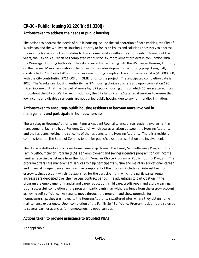# **CR-30 - Public Housing 91.220(h); 91.320(j) Actions taken to address the needs of public housing**

The actions to address the needs of public housing include the collaboration of both entities, the City of Waukegan and the Waukegan Housing Authority to focus on issues and solutions necessary to address the existing housing stock as it relates to low income families within the community. Throughout the years, the City of Waukegan has completed various facility improvement projects in conjunction with the Waukegan Housing Authority. The City is currently partnering with the Waukegan Housing Authority on the Barwell Manor renovation. The project is the redevelopment of a housing project originally constructed in 1963 into 120 unit mixed income housing complex. The approximate cost is \$45,000,000, with the City contributing \$711,603 of HOME funds to the project. The anticipated completion date is 2023. The Waukegan Housing Authority has 874 housing choice vouchers and upon completion 120 mixed income units at the Barwell Manor site; 328 public housing units of which 25 are scattered sites throughout the City of Waukegan. In addition, the City funds Prairie State Legal Services to ensure that low income and disabled residents are not denied public housing due to any form of discrimination.

## **Actions taken to encourage public housing residents to become more involved in management and participate in homeownership**

The Waukegan Housing Authority maintains a Resident Council to encourage resident involvement in management. Each site has a Resident Council which acts as a liaison between the Housing Authority and the residents, voicing the concerns of the residents to the Housing Authority. There is a resident commissioner on the Board of Commissioners for public/citizen representation and involvement.

The Housing Authority encourages homeownership through the Family Self-Sufficiency Program. The Family Self-Sufficiency Program (FSS) is an employment and savings incentive program for low income families receiving assistance from the Housing Voucher Choice Program or Public Housing Program. The program offers case management services to help participants pursue and maintain educational, career and financial independence. An incentive component of the program includes an interest bearing escrow savings account which is established for the participants in which the participants rental increases are deposited over the five year contract period. The advantages to participation in the program are employment, financial and career education, child care, credit repair and escrow savings. Upon successful completion of the program, participants may withdraw funds from the escrow account achieving self-sufficiency. As tenants move through the program and show potential for homeownership, they are moved to the Housing Authority's scattered sites, where they obtain home maintenance experience. Upon completion of the Family Self-Sufficiency Program residents are referred to several partner agencies for homeownership opportunities.

#### **Actions taken to provide assistance to troubled PHAs**

Not applicable.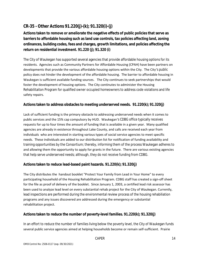# **CR-35 - Other Actions 91.220(j)-(k); 91.320(i)-(j)**

**Actions taken to remove or ameliorate the negative effects of public policies that serve as barriers to affordable housing such as land use controls, tax policies affecting land, zoning ordinances, building codes, fees and charges, growth limitations, and policies affecting the return on residential investment. 91.220 (j); 91.320 (i)**

The City of Waukegan has supported several agencies that provide affordable housing options for its residents. Agencies such as Community Partners for Affordable Housing (CPAH) have been partners on developments that provide the various affordable housing options within the City. The City's public policy does not hinder the development of the affordable housing. The barrier to affordable housing in Waukegan is sufficient available funding sources. The City continues to seek partnerships that would foster the development of housing options. The City continutes to administer the Housing Rehabilitaiton Program for qualified owner occupied homeowners to address code violations and life safety repairs.

#### **Actions taken to address obstacles to meeting underserved needs. 91.220(k); 91.320(j)**

Lack of sufficient funding is the primary obstacle to addressing underserved needs when it comes to public services and the 15% cap compulsory by HUD. Waukegan's CDBG office typically receives requests for up to four times the amount of funding that is available in a given year. Many qualified agencies are already in existence throughout Lake County, and calls are received each year from individuals who are interested in starting various types of social service agencies to meet specific needs. These individuals are added to our distribution list for notification of funding availability and training opportunities by the Consortium; thereby, informing them of the process Waukegan adheres to and allowing them the opportunity to apply for grants in the future. There are various existing agencies that help serve underserved needs; although, they do not receive funding from CDBG.

#### **Actions taken to reduce lead-based paint hazards. 91.220(k); 91.320(j)**

The City distributes the handout booklet "Protect Your Family from Lead in Your Home" to every participating household of the Housing Rehabilitation Program. CDBG staff has created a sign-off sheet for the file as proof of delivery of the booklet. Since January 1, 2003, a certified lead risk assessor has been used to analyze lead level on every substantial rehab project for the City of Waukegan. Currently, lead inspections are performed during the environmental review process of the housing rehabiliation programs and any issues discovered are addressed during the emergency or substantial rehabilitation project.

#### **Actions taken to reduce the number of poverty-level families. 91.220(k); 91.320(j)**

In an effort to reduce the number of families living below the poverty level, the City of Waukegan funds several public service agencies aimed at helping households become or remain self-sufficient. Prairie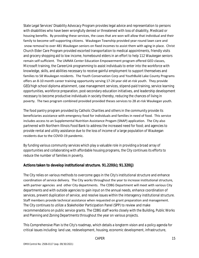State Legal Services' Disability Advocacy Program provides legal advice and representation to persons with disabilities who have been wrongfully denied or threatened with loss of disability, Medicaid or housing benefits. By providing these services, the cases that are won will allow that individual and their family to become self-supporting citizens. Waukegan Township provided year-round lawn care and snow removal to over 481 Waukegan seniors on fixed incomes to assist them with aging in place. Christ Church Elder Care Program provided escorted transportation to medical appointments, friendly visits and grocery shopping aid to low income, homebound elders in an effort to help 112 Waukegan seniors remain self-sufficient. The UMMA Center Education Empowerment program offered GED classes, Microsoft training, the CareerLink programming to assist individuals to enter into the workforce with knowledge, skills, and abilities necessary to receive gainful employment to support themselves and families to 58 Waukegan residents. The Youth Conservation Corp and YouthBuild Lake County Programs offers an 8-10 month career training opportunity serving 17-24 year old at-risk youth. They provide GED/high school diploma attainment, case management services, stipend-paid training, service learning opportunities, workforce preparation, post-secondary education initiatives, and leadership development necessary to become productive individuals in society thereby, reducing the chances of living in poverty. The two program combined provided provided theses services to 28 at-risk Waukegan youth.

The food pantry program provided by Catholic Charities and others in the community provide its beneficiaries assistance with emergency food for individuals and families in need of food. This service includes access to an Supplemental Nutrition Assistance Progam (SNAP) application. The City also partnered with Northern Illinois Food Bank to address the increased need for food; and agencies to provide rental and utility assistance due to the loss of income of a large population of Waukegan residents due to the COVID-19 pandemic.

By funding various community services which play a valuable role in providing a broad array of opportunities and collaborating with affordable housing programs, the City continues its efforts to reduce the number of families in poverty.

#### **Actions taken to develop institutional structure. 91.220(k); 91.320(j)**

The City relies on various methods to overcome gaps in the City's institutional structure and enhance coordination of service delivery. The City works throughout the year to increase institutional structure, with partner agencies and other City departments. The CDBG Department will meet with various City departments and with outside agencies to gain input on the annual needs, enhance coordination of services, prevent duplication of service, and resolve issues within the interagency institutional structure. Staff members provide technical assistance when requested on grant preparation and management. The City continues to utilize a Stakeholder Participation Panel (SPP) to review and make recommendations on public service grants. The CDBG staff works closely with the Building, Public Works and Planning and Zoning Departments throughout the year on various projects.

This Comprehensive Plan is the City's roadmap, which details a longterm vision and a policy agenda for critical issues including: land use, redevelopment, housing, economic development, infrastructure,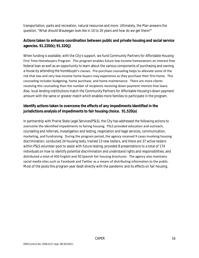transportation, parks and recreation, natural resources and more. Ultimately, the Plan answers the question, "What should Waukegan look like in 10 to 20 years and how do we get there?"

## **Actions taken to enhance coordination between public and private housing and social service agencies. 91.220(k); 91.320(j)**

When funding is available, with the City's support, we fund Community Partners for Affordable Housing First Time Homebuyers Program. This program enables future low-income homeowners an interest-free federal loan as well as an opportunity to learn about the various components of purchasing and owning a house by attending the homebuyer's classes. Pre-purchase counseling helps to alleviate some of the risk that low and very low-income home buyers may experience as they purchase their first home. This counseling includes budgeting, home purchase, and home maintenance. There are more clients receiving this counseling than the number of recipients receiving down payment interest-free loans. Also, local lending instititutions match the Community Partners for Affordable Housing's down payment amount with the same or greater match which enables more families to participate in the program.

## **Identify actions taken to overcome the effects of any impediments identified in the jurisdictions analysis of impediments to fair housing choice. 91.520(a)**

In partnership with Prairie State Legal Services(PSLS), the City has addressed the following actions to overcome the identified impediments to fairing housing. PSLS provided education and outreach, counseling and referrals, investigation and testing, negotiation and legal services, communication, marketing, and fundraising. During the program period, the agency received 9 cases involving housing discrimination; conducted 24 housing tests, trained 13 new testers, and there are 37 active testers within PSLS volunteer pool to assist with future testing; provided 8 presentations to a total of 174 individuals on how to identify potential discrimination and understand rights and responsibilities; and distributed a total of 450 English and 50 Spanish fair housing brochures. The agency also maintains social media sites such as Facebook and Twitter as a means of distributing information to the public. Most of the posts this program year dealt directly with the pandemic and its effects on fair housing.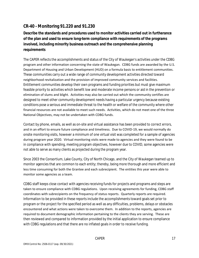# **CR-40 - Monitoring 91.220 and 91.230**

**Describe the standards and procedures used to monitor activities carried out in furtherance of the plan and used to ensure long-term compliance with requirements of the programs involved, including minority business outreach and the comprehensive planning requirements**

The CAPER reflects the accomplishments and status of the City of Waukegan's activities under the CDBG program and other information concerning the state of Waukegan. CDBG funds are awarded by the U.S. Department of Housing and Urban Development (HUD) on a formula basis to entitlement communities. These communities carry out a wide range of community development activities directed toward neighborhood revitalization and the provision of improved community services and facilities. Entitlement communities develop their own programs and funding priorities but must give maximum feasible priority to activities which benefit low and moderate income persons or aid in the prevention or elimination of slums and blight. Activities may also be carried out which the community certifies are designed to meet other community development needs having a particular urgency because existing conditions pose a serious and immediate threat to the health or welfare of the community where other financial resources are not available to meet such needs. Activities, which do not meet one of the three National Objectives, may not be undertaken with CDBG funds.

Contact by phone, emails, as well as on-site and virtual assistance has been provided to correct errors, and in an effort to ensure future compliance and timeliness. Due to COVID-19, we would normally do onsite monitoring visits, however a minimum of one virtual visit was completed for a sample of agencies during program year 2020. Virtual monitoring visits were made to agencies and they were found to be in compliance with spending, meeting program objectives, however due to COVID, some agencies were not able to serve as many clients as projected during the program year.

Since 2003 the Consortium, Lake County, City of North Chicago, and the City of Waukegan teamed up to monitor agencies that are common to each entity; thereby, being more thorough and more efficient and less time consuming for both the Grantee and each subrecipient. The entities this year were able to monitor some agencies as a team.

CDBG staff keeps close contact with agencies receiving funds for projects and programs and steps are taken to ensure compliance with CDBG regulations. Upon receiving agreements for funding, CDBG staff coordinates with subrecipients on the frequency of status reports. Quarterly reports are required. Information to be provided in these reports include the accomplishments toward goals set prior to program or the project for the specified period as well as any difficulties, problems, delays or obstacles encountered and what actions were taken to overcome them. In addition to the reports, agencies are required to document demographic information pertaining to the clients they are serving. These are then reviewed and compared to information provided by the initial application to ensure compliance with CDBG regulations and that there are no inflated goals in order to receive funding.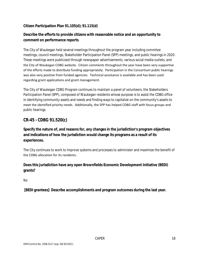#### **Citizen Participation Plan 91.105(d); 91.115(d)**

# **Describe the efforts to provide citizens with reasonable notice and an opportunity to comment on performance reports**.

The City of Waukegan held several meetings throughout the program year including commitee meetings, council meetings, Stakeholder Participation Panel (SPP) meetings, and public hearings in 2020. These meetings were publicized through newspaper advertisements, various social media outlets, and the City of Waukegan CDBG website. Citizen comments throughout the year have been very supportive of the efforts made to distribute funding appropriately. Participation in the Consortium public hearings was also very positive from funded agencies. Technical assistance is available and has been used regarding grant applications and grant management.

The City of Waukegan CDBG Program continues to maintain a panel of volunteers, the Stakeholders Participation Panel (SPP), composed of Waukegan residents whose purpose is to assist the CDBG office in identifying community assets and needs and finding ways to capitalize on the community's assets to meet the identified priority needs. Additionally, the SPP has helped CDBG staff with focus groups and public hearings.

# **CR-45 - CDBG 91.520(c)**

## **Specify the nature of, and reasons for, any changes in the jurisdiction's program objectives and indications of how the jurisdiction would change its programs as a result of its experiences.**

The City continues to work to improve systems and processes to administer and maximize the benefit of the CDBG allocation for its residents.

## **Does this Jurisdiction have any open Brownfields Economic Development Initiative (BEDI) grants?**

No

 **[BEDI grantees] Describe accomplishments and program outcomes during the last year.**